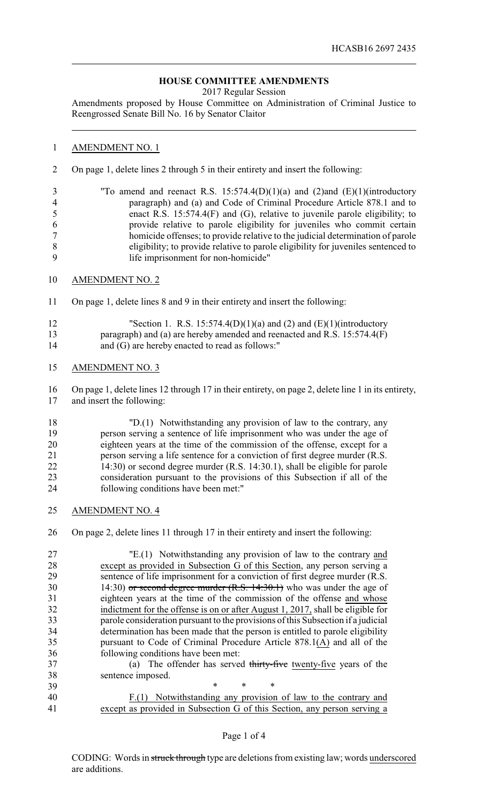## **HOUSE COMMITTEE AMENDMENTS**

2017 Regular Session

Amendments proposed by House Committee on Administration of Criminal Justice to Reengrossed Senate Bill No. 16 by Senator Claitor

## AMENDMENT NO. 1

On page 1, delete lines 2 through 5 in their entirety and insert the following:

 "To amend and reenact R.S. 15:574.4(D)(1)(a) and (2)and (E)(1)(introductory paragraph) and (a) and Code of Criminal Procedure Article 878.1 and to enact R.S. 15:574.4(F) and (G), relative to juvenile parole eligibility; to provide relative to parole eligibility for juveniles who commit certain homicide offenses; to provide relative to the judicial determination of parole eligibility; to provide relative to parole eligibility for juveniles sentenced to life imprisonment for non-homicide"

- AMENDMENT NO. 2
- On page 1, delete lines 8 and 9 in their entirety and insert the following:
- 12 "Section 1. R.S.  $15:574.4(D)(1)(a)$  and  $(2)$  and  $(E)(1)(introductory)$  paragraph) and (a) are hereby amended and reenacted and R.S. 15:574.4(F) 14 and (G) are hereby enacted to read as follows:"
- AMENDMENT NO. 3

 On page 1, delete lines 12 through 17 in their entirety, on page 2, delete line 1 in its entirety, and insert the following:

- "D.(1) Notwithstanding any provision of law to the contrary, any person serving a sentence of life imprisonment who was under the age of eighteen years at the time of the commission of the offense, except for a person serving a life sentence for a conviction of first degree murder (R.S. 14:30) or second degree murder (R.S. 14:30.1), shall be eligible for parole consideration pursuant to the provisions of this Subsection if all of the following conditions have been met:"
- AMENDMENT NO. 4

On page 2, delete lines 11 through 17 in their entirety and insert the following:

 "E.(1) Notwithstanding any provision of law to the contrary and except as provided in Subsection G of this Section, any person serving a sentence of life imprisonment for a conviction of first degree murder (R.S. 30 14:30) or second degree murder (R.S. 14:30.1) who was under the age of eighteen years at the time of the commission of the offense and whose indictment for the offense is on or after August 1, 2017, shall be eligible for parole consideration pursuant to the provisions of this Subsection if a judicial determination has been made that the person is entitled to parole eligibility pursuant to Code of Criminal Procedure Article 878.1(A) and all of the following conditions have been met: (a) The offender has served thirty-five twenty-five years of the sentence imposed. \* \* \*

 F.(1) Notwithstanding any provision of law to the contrary and except as provided in Subsection G of this Section, any person serving a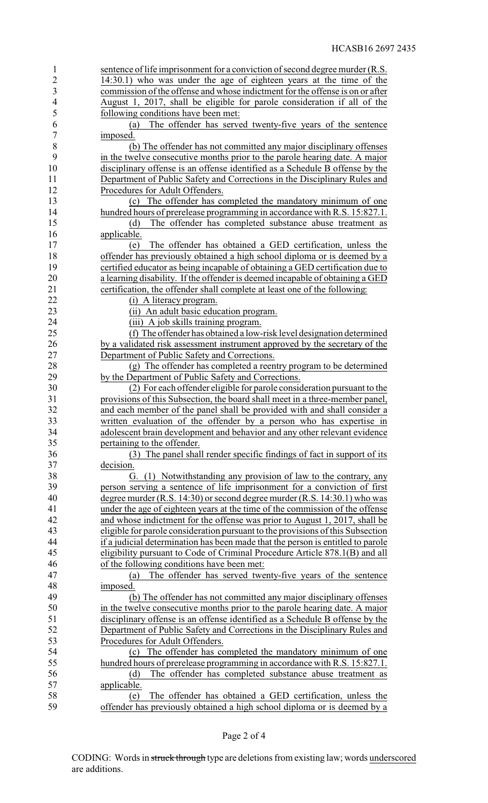| $\mathbf{1}$   | sentence of life imprisonment for a conviction of second degree murder (R.S.    |
|----------------|---------------------------------------------------------------------------------|
| $\overline{2}$ | 14:30.1) who was under the age of eighteen years at the time of the             |
| 3              | commission of the offense and whose indictment for the offense is on or after   |
| $\overline{4}$ | August 1, 2017, shall be eligible for parole consideration if all of the        |
| 5              | following conditions have been met:                                             |
| 6              | The offender has served twenty-five years of the sentence<br>(a)                |
| $\overline{7}$ | imposed.                                                                        |
| 8              | (b) The offender has not committed any major disciplinary offenses              |
| 9              |                                                                                 |
|                | in the twelve consecutive months prior to the parole hearing date. A major      |
| 10             | disciplinary offense is an offense identified as a Schedule B offense by the    |
| 11             | Department of Public Safety and Corrections in the Disciplinary Rules and       |
| 12             | Procedures for Adult Offenders.                                                 |
| 13             | (c) The offender has completed the mandatory minimum of one                     |
| 14             | hundred hours of prerelease programming in accordance with R.S. 15:827.1.       |
| 15             | The offender has completed substance abuse treatment as<br>(d)                  |
| 16             | applicable.                                                                     |
| 17             | The offender has obtained a GED certification, unless the<br>(e)                |
| 18             | offender has previously obtained a high school diploma or is deemed by a        |
| 19             | certified educator as being incapable of obtaining a GED certification due to   |
| 20             | a learning disability. If the offender is deemed incapable of obtaining a GED   |
| 21             | certification, the offender shall complete at least one of the following:       |
| 22             | (i) A literacy program.                                                         |
| 23             | (ii) An adult basic education program.                                          |
| 24             | (iii) A job skills training program.                                            |
| 25             | (f) The offender has obtained a low-risk level designation determined           |
| 26             | by a validated risk assessment instrument approved by the secretary of the      |
| 27             | Department of Public Safety and Corrections.                                    |
| 28             | (g) The offender has completed a reentry program to be determined               |
|                |                                                                                 |
| 29             | by the Department of Public Safety and Corrections.                             |
| 30             | (2) For each offender eligible for parole consideration pursuant to the         |
| 31             | provisions of this Subsection, the board shall meet in a three-member panel,    |
| 32             | and each member of the panel shall be provided with and shall consider a        |
| 33             | written evaluation of the offender by a person who has expertise in             |
| 34             | adolescent brain development and behavior and any other relevant evidence       |
| 35             | pertaining to the offender.                                                     |
| 36             | (3) The panel shall render specific findings of fact in support of its          |
| 37             | decision.                                                                       |
| 38             | (1) Notwithstanding any provision of law to the contrary, any<br>€Ì.            |
| 39             | person serving a sentence of life imprisonment for a conviction of first        |
| 40             | degree murder (R.S. 14:30) or second degree murder (R.S. 14:30.1) who was       |
| 41             | under the age of eighteen years at the time of the commission of the offense    |
| 42             | and whose indictment for the offense was prior to August 1, 2017, shall be      |
| 43             | eligible for parole consideration pursuant to the provisions of this Subsection |
| 44             | if a judicial determination has been made that the person is entitled to parole |
| 45             | eligibility pursuant to Code of Criminal Procedure Article 878.1(B) and all     |
| 46             | of the following conditions have been met:                                      |
| 47             | The offender has served twenty-five years of the sentence<br>(a)                |
| 48             | imposed.                                                                        |
| 49             | (b) The offender has not committed any major disciplinary offenses              |
| 50             |                                                                                 |
| 51             | in the twelve consecutive months prior to the parole hearing date. A major      |
|                | disciplinary offense is an offense identified as a Schedule B offense by the    |
| 52             | Department of Public Safety and Corrections in the Disciplinary Rules and       |
| 53             | Procedures for Adult Offenders.                                                 |
| 54             | The offender has completed the mandatory minimum of one<br>(c)                  |
| 55             | hundred hours of prerelease programming in accordance with R.S. 15:827.1.       |
| 56             | The offender has completed substance abuse treatment as<br>(d)                  |
| 57             | applicable.                                                                     |
| 58             | The offender has obtained a GED certification, unless the<br>(e)                |
| 59             | offender has previously obtained a high school diploma or is deemed by a        |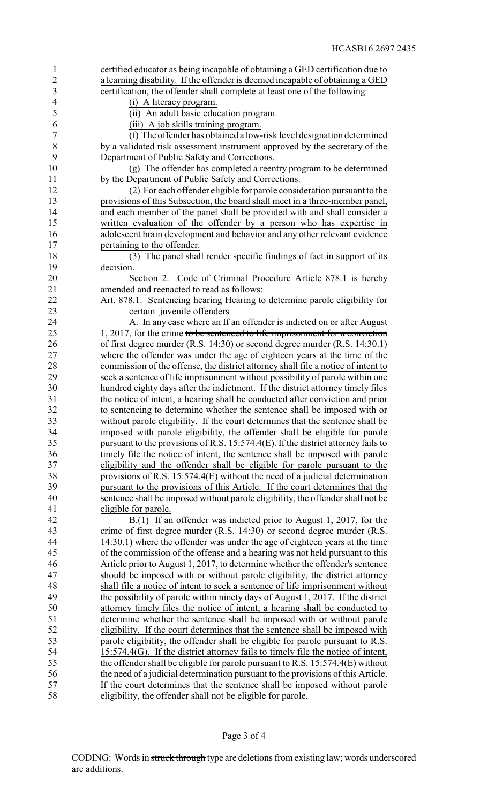| $\mathbf{1}$   | certified educator as being incapable of obtaining a GED certification due to        |
|----------------|--------------------------------------------------------------------------------------|
| $\overline{2}$ | a learning disability. If the offender is deemed incapable of obtaining a GED        |
| 3              | certification, the offender shall complete at least one of the following:            |
| $\overline{4}$ | (i) A literacy program.                                                              |
| 5              | (ii) An adult basic education program.                                               |
| 6              | (iii) A job skills training program.                                                 |
| $\overline{7}$ | (f) The offender has obtained a low-risk level designation determined                |
| 8              | by a validated risk assessment instrument approved by the secretary of the           |
| 9              | Department of Public Safety and Corrections.                                         |
| 10             | (g) The offender has completed a reentry program to be determined                    |
| 11             | by the Department of Public Safety and Corrections.                                  |
| 12             | (2) For each offender eligible for parole consideration pursuant to the              |
| 13             | provisions of this Subsection, the board shall meet in a three-member panel,         |
| 14             | and each member of the panel shall be provided with and shall consider a             |
| 15             | written evaluation of the offender by a person who has expertise in                  |
| 16             | adolescent brain development and behavior and any other relevant evidence            |
| 17             | pertaining to the offender.                                                          |
| 18             | (3) The panel shall render specific findings of fact in support of its               |
|                |                                                                                      |
| 19             | decision.                                                                            |
| 20             | Section 2. Code of Criminal Procedure Article 878.1 is hereby                        |
| 21             | amended and reenacted to read as follows:                                            |
| 22             | Art. 878.1. Sentencing hearing Hearing to determine parole eligibility for           |
| 23             | certain juvenile offenders                                                           |
| 24             | A. In any case where an If an offender is indicted on or after August                |
| 25             | 1, 2017, for the crime to be sentenced to life imprisonment for a conviction         |
| 26             | of first degree murder $(R.S. 14:30)$ or second degree murder $(R.S. 14:30.1)$       |
| 27             | where the offender was under the age of eighteen years at the time of the            |
| 28             | commission of the offense, the district attorney shall file a notice of intent to    |
| 29             | seek a sentence of life imprisonment without possibility of parole within one        |
| 30             | hundred eighty days after the indictment. If the district attorney timely files      |
| 31             | the notice of intent, a hearing shall be conducted after conviction and prior        |
| 32             | to sentencing to determine whether the sentence shall be imposed with or             |
| 33             | without parole eligibility. If the court determines that the sentence shall be       |
| 34             | imposed with parole eligibility, the offender shall be eligible for parole           |
| 35             | pursuant to the provisions of R.S. $15:574.4(E)$ . If the district attorney fails to |
| 36             | timely file the notice of intent, the sentence shall be imposed with parole          |
| 37             | eligibility and the offender shall be eligible for parole pursuant to the            |
| 38             | provisions of R.S. 15:574.4 $(E)$ without the need of a judicial determination       |
| 39             | pursuant to the provisions of this Article. If the court determines that the         |
| 40             | sentence shall be imposed without parole eligibility, the offender shall not be      |
| 41             | eligible for parole.                                                                 |
| 42             | B.(1) If an offender was indicted prior to August 1, 2017, for the                   |
| 43             | crime of first degree murder $(R.S. 14:30)$ or second degree murder $(R.S. 14:30)$   |
| 44             | 14:30.1) where the offender was under the age of eighteen years at the time          |
| 45             | of the commission of the offense and a hearing was not held pursuant to this         |
| 46             | Article prior to August 1, 2017, to determine whether the offender's sentence        |
| 47             | should be imposed with or without parole eligibility, the district attorney          |
| 48             | shall file a notice of intent to seek a sentence of life imprisonment without        |
| 49             | the possibility of parole within ninety days of August 1, 2017. If the district      |
| 50             | attorney timely files the notice of intent, a hearing shall be conducted to          |
| 51             | determine whether the sentence shall be imposed with or without parole               |
|                |                                                                                      |
| 52             | eligibility. If the court determines that the sentence shall be imposed with         |
| 53             | parole eligibility, the offender shall be eligible for parole pursuant to R.S.       |
| 54             | $15:574.4(G)$ . If the district attorney fails to timely file the notice of intent,  |
| 55             | the offender shall be eligible for parole pursuant to R.S. $15:574.4(E)$ without     |
| 56             | the need of a judicial determination pursuant to the provisions of this Article.     |
| 57             | If the court determines that the sentence shall be imposed without parole            |
| 58             | eligibility, the offender shall not be eligible for parole.                          |